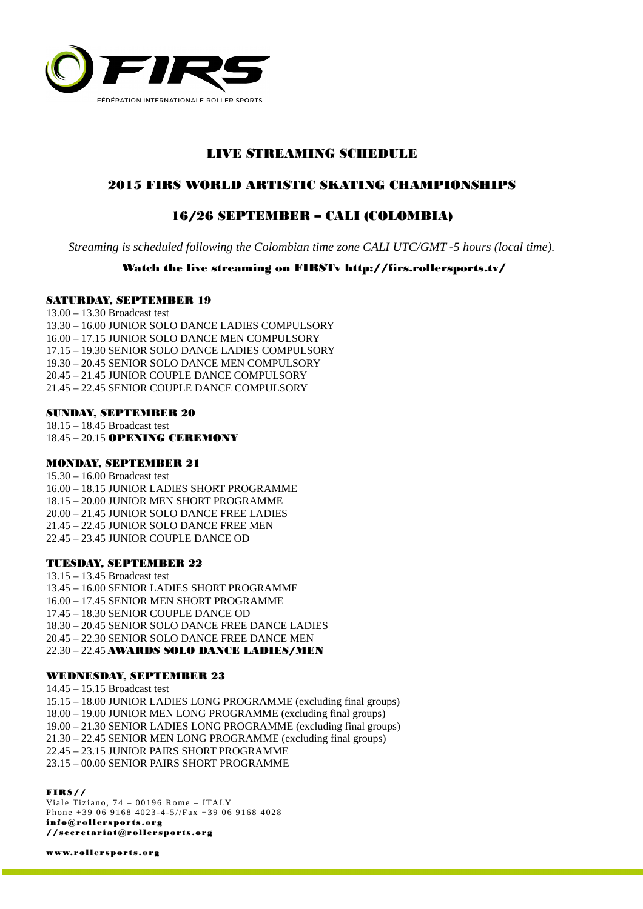

# LIVE STREAMING SCHEDULE

## 2015 FIRS WORLD ARTISTIC SKATING CHAMPIONSHIPS

## 16/26 SEPTEMBER – CALI (COLOMBIA)

*Streaming is scheduled following the Colombian time zone CALI UTC/GMT -5 hours (local time).* 

## Watch the live streaming on FIRSTv http://firs.rollersports.tv/

#### SATURDAY, SEPTEMBER 19

13.00 – 13.30 Broadcast test 13.30 – 16.00 JUNIOR SOLO DANCE LADIES COMPULSORY 16.00 – 17.15 JUNIOR SOLO DANCE MEN COMPULSORY 17.15 – 19.30 SENIOR SOLO DANCE LADIES COMPULSORY 19.30 – 20.45 SENIOR SOLO DANCE MEN COMPULSORY 20.45 – 21.45 JUNIOR COUPLE DANCE COMPULSORY 21.45 – 22.45 SENIOR COUPLE DANCE COMPULSORY

#### SUNDAY, SEPTEMBER 20

18.15 – 18.45 Broadcast test 18.45 – 20.15 OPENING CEREMONY

#### MONDAY, SEPTEMBER 21

15.30 – 16.00 Broadcast test 16.00 – 18.15 JUNIOR LADIES SHORT PROGRAMME 18.15 – 20.00 JUNIOR MEN SHORT PROGRAMME 20.00 – 21.45 JUNIOR SOLO DANCE FREE LADIES 21.45 – 22.45 JUNIOR SOLO DANCE FREE MEN 22.45 – 23.45 JUNIOR COUPLE DANCE OD

#### TUESDAY, SEPTEMBER 22

13.15 – 13.45 Broadcast test 13.45 – 16.00 SENIOR LADIES SHORT PROGRAMME 16.00 – 17.45 SENIOR MEN SHORT PROGRAMME 17.45 – 18.30 SENIOR COUPLE DANCE OD 18.30 – 20.45 SENIOR SOLO DANCE FREE DANCE LADIES 20.45 – 22.30 SENIOR SOLO DANCE FREE DANCE MEN 22.30 – 22.45 AWARDS SOLO DANCE LADIES/MEN

### WEDNESDAY, SEPTEMBER 23

14.45 – 15.15 Broadcast test 15.15 – 18.00 JUNIOR LADIES LONG PROGRAMME (excluding final groups) 18.00 – 19.00 JUNIOR MEN LONG PROGRAMME (excluding final groups) 19.00 – 21.30 SENIOR LADIES LONG PROGRAMME (excluding final groups) 21.30 – 22.45 SENIOR MEN LONG PROGRAMME (excluding final groups) 22.45 – 23.15 JUNIOR PAIRS SHORT PROGRAMME 23.15 – 00.00 SENIOR PAIRS SHORT PROGRAMME

#### FIRS//

Viale Tiziano, 74 - 00196 Rome - ITALY Phone +39 06 9168 4023-4-5//Fax +39 06 9168 4028 info@rollersports.org //secretariat@rollersports.org

[www.rollersports.org](http://www.rollersports.org/)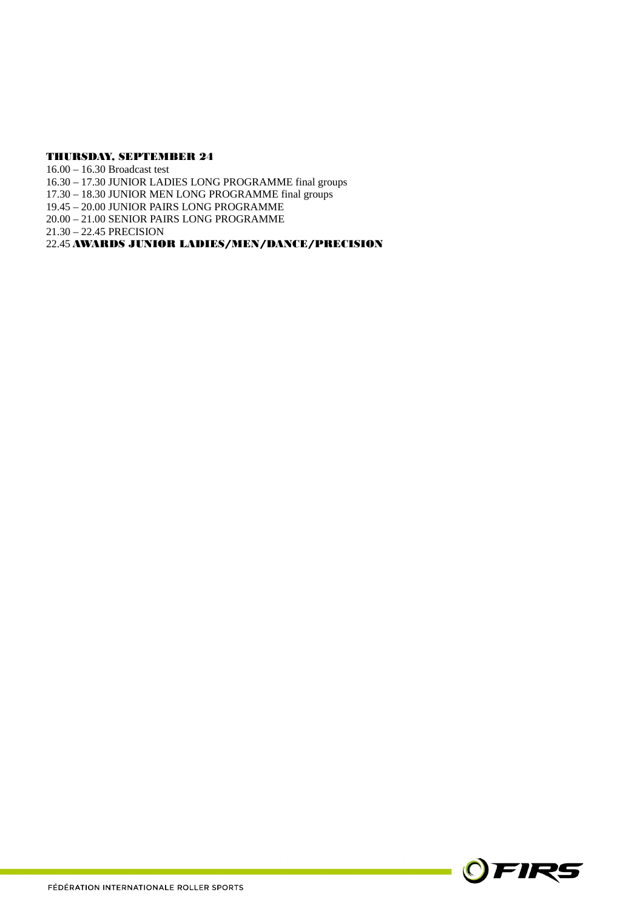#### THURSDAY, SEPTEMBER 24

16.00 – 16.30 Broadcast test 16.30 – 17.30 JUNIOR LADIES LONG PROGRAMME final groups 17.30 – 18.30 JUNIOR MEN LONG PROGRAMME final groups 19.45 – 20.00 JUNIOR PAIRS LONG PROGRAMME 20.00 – 21.00 SENIOR PAIRS LONG PROGRAMME 21.30 – 22.45 PRECISION 22.45 AWARDS JUNIOR LADIES/MEN/DANCE/PRECISION